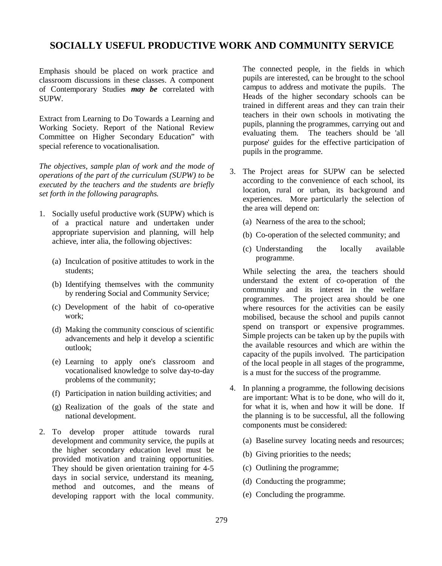# **SOCIALLY USEFUL PRODUCTIVE WORK AND COMMUNITY SERVICE**

Emphasis should be placed on work practice and classroom discussions in these classes. A component of Contemporary Studies *may be* correlated with SUPW.

Extract from Learning to Do Towards a Learning and Working Society. Report of the National Review Committee on Higher Secondary Education" with special reference to vocationalisation.

*The objectives, sample plan of work and the mode of operations of the part of the curriculum (SUPW) to be executed by the teachers and the students are briefly set forth in the following paragraphs.*

- 1. Socially useful productive work (SUPW) which is of a practical nature and undertaken under appropriate supervision and planning, will help achieve, inter alia, the following objectives:
	- (a) Inculcation of positive attitudes to work in the students;
	- (b) Identifying themselves with the community by rendering Social and Community Service;
	- (c) Development of the habit of co-operative work;
	- (d) Making the community conscious of scientific advancements and help it develop a scientific outlook;
	- (e) Learning to apply one's classroom and vocationalised knowledge to solve day-to-day problems of the community;
	- (f) Participation in nation building activities; and
	- (g) Realization of the goals of the state and national development.
- 2. To develop proper attitude towards rural development and community service, the pupils at the higher secondary education level must be provided motivation and training opportunities. They should be given orientation training for 4-5 days in social service, understand its meaning, method and outcomes, and the means of developing rapport with the local community.

The connected people, in the fields in which pupils are interested, can be brought to the school campus to address and motivate the pupils. The Heads of the higher secondary schools can be trained in different areas and they can train their teachers in their own schools in motivating the pupils, planning the programmes, carrying out and evaluating them. The teachers should be 'all purpose' guides for the effective participation of pupils in the programme.

- 3. The Project areas for SUPW can be selected according to the convenience of each school, its location, rural or urban, its background and experiences. More particularly the selection of the area will depend on:
	- (a) Nearness of the area to the school;
	- (b) Co-operation of the selected community; and
	- (c) Understanding the locally available programme.

While selecting the area, the teachers should understand the extent of co-operation of the community and its interest in the welfare programmes. The project area should be one where resources for the activities can be easily mobilised, because the school and pupils cannot spend on transport or expensive programmes. Simple projects can be taken up by the pupils with the available resources and which are within the capacity of the pupils involved. The participation of the local people in all stages of the programme, is a must for the success of the programme.

- 4. In planning a programme, the following decisions are important: What is to be done, who will do it, for what it is, when and how it will be done. If the planning is to be successful, all the following components must be considered:
	- (a) Baseline survey locating needs and resources;
	- (b) Giving priorities to the needs;
	- (c) Outlining the programme;
	- (d) Conducting the programme;
	- (e) Concluding the programme.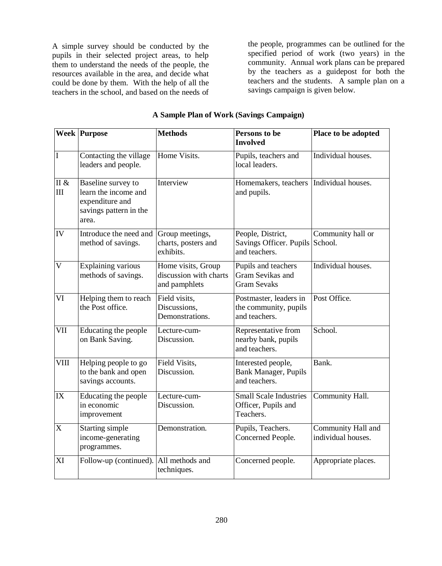A simple survey should be conducted by the pupils in their selected project areas, to help them to understand the needs of the people, the resources available in the area, and decide what could be done by them. With the help of all the teachers in the school, and based on the needs of

the people, programmes can be outlined for the specified period of work (two years) in the community. Annual work plans can be prepared by the teachers as a guidepost for both the teachers and the students. A sample plan on a savings campaign is given below.

|                           | <b>Week Purpose</b>                                                                              | <b>Methods</b>                                                | Persons to be<br><b>Involved</b>                                  | Place to be adopted                      |
|---------------------------|--------------------------------------------------------------------------------------------------|---------------------------------------------------------------|-------------------------------------------------------------------|------------------------------------------|
| $\overline{I}$            | Contacting the village<br>leaders and people.                                                    | Home Visits.                                                  | Pupils, teachers and<br>local leaders.                            | Individual houses.                       |
| $\amalg$ &<br>III         | Baseline survey to<br>learn the income and<br>expenditure and<br>savings pattern in the<br>area. | Interview                                                     | Homemakers, teachers   Individual houses.<br>and pupils.          |                                          |
| IV                        | Introduce the need and<br>method of savings.                                                     | Group meetings,<br>charts, posters and<br>exhibits.           | People, District,<br>Savings Officer. Pupils<br>and teachers.     | Community hall or<br>School.             |
| $\mathbf{V}$              | Explaining various<br>methods of savings.                                                        | Home visits, Group<br>discussion with charts<br>and pamphlets | Pupils and teachers<br>Gram Sevikas and<br><b>Gram Sevaks</b>     | Individual houses.                       |
| VI                        | Helping them to reach<br>the Post office.                                                        | Field visits,<br>Discussions,<br>Demonstrations.              | Postmaster, leaders in<br>the community, pupils<br>and teachers.  | Post Office.                             |
| VII                       | Educating the people<br>on Bank Saving.                                                          | Lecture-cum-<br>Discussion.                                   | Representative from<br>nearby bank, pupils<br>and teachers.       | School.                                  |
| <b>VIII</b>               | Helping people to go<br>to the bank and open<br>savings accounts.                                | Field Visits,<br>Discussion.                                  | Interested people,<br>Bank Manager, Pupils<br>and teachers.       | Bank.                                    |
| IX                        | Educating the people<br>in economic<br>improvement                                               | Lecture-cum-<br>Discussion.                                   | <b>Small Scale Industries</b><br>Officer, Pupils and<br>Teachers. | Community Hall.                          |
| $\boldsymbol{\mathrm{X}}$ | Starting simple<br>income-generating<br>programmes.                                              | Demonstration.                                                | Pupils, Teachers.<br>Concerned People.                            | Community Hall and<br>individual houses. |
| XI                        | Follow-up (continued).                                                                           | All methods and<br>techniques.                                | Concerned people.                                                 | Appropriate places.                      |

# **A Sample Plan of Work (Savings Campaign)**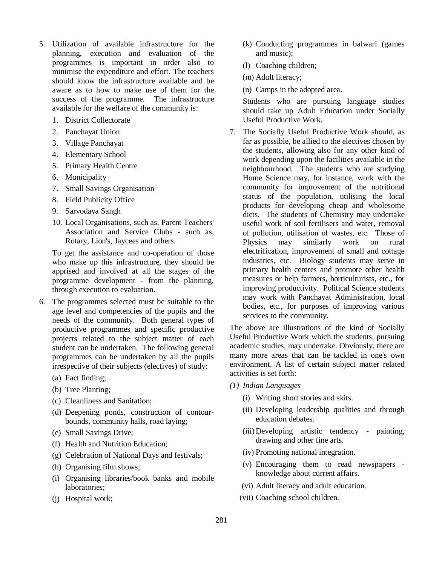- 5. Utilization of available infrastructure for the planning, execution and evaluation of the programmes is important in order also to minimise the expenditure and effort. The teachers should know the infrastructure available and be aware as to how to make use of them for the success of the programme. The infrastructure available for the welfare of the community is:
	- 1. District Collectorate
	- 2. Panchayat Union
	- 3. Village Panchayat
	- 4. Elementary School
	- 5. Primary Health Centre
	- 6. Municipality
	- 7. Small Savings Organisation
	- 8. Field Publicity Office
	- 9. Sarvodaya Sangh
	- 10. Local Organisations, such as, Parent Teachers' Association and Service Clubs - such as, Rotary, Lion's, Jaycees and others.

To get the assistance and co-operation of those who make up this infrastructure, they should be apprised and involved at all the stages of the programme development - from the planning, through execution to evaluation.

- 6. The programmes selected must be suitable to the age level and competencies of the pupils and the needs of the community. Both general types of productive programmes and specific productive projects related to the subject matter of each student can be undertaken. The following general programmes can be undertaken by all the pupils irrespective of their subjects (electives) of study:
	- (a) Fact finding;
	- (b) Tree Planting;
	- (c) Cleanliness and Sanitation;
	- (d) Deepening ponds, construction of contourbounds, community halls, road laying;
	- (e) Small Savings Drive;
	- (f) Health and Nutrition Education;
	- (g) Celebration of National Days and festivals;
	- (h) Organising film shows;
	- (i) Organising libraries/book banks and mobile laboratories;
	- (j) Hospital work;
- (k) Conducting programmes in balwari (games and music);
- (l) Coaching children;
- (m) Adult literacy;
- (n) Camps in the adopted area.

Students who are pursuing language studies should take up Adult Education under Socially Useful Productive Work.

7. The Socially Useful Productive Work should, as far as possible, be allied to the electives chosen by the students, allowing also for any other kind of work depending upon the facilities available in the neighbourhood. The students who are studying Home Science may, for instance, work with the community for improvement of the nutritional status of the population, utilising the local products for developing cheap and wholesome diets. The students of Chemistry may undertake useful work of soil fertilisers and water, removal of pollution, utilisation of wastes, etc. Those of Physics may similarly work on rural electrification, improvement of small and cottage industries, etc. Biology students may serve in primary health centres and promote other health measures or help farmers, horticulturists, etc., for improving productivity. Political Science students may work with Panchayat Administration, local bodies, etc., for purposes of improving various services to the community.

The above are illustrations of the kind of Socially Useful Productive Work which the students, pursuing academic studies, may undertake. Obviously, there are many more areas that can be tackled in one's own environment. A list of certain subject matter related activities is set forth:

- *(1) Indian Languages*
	- (i) Writing short stories and skits.
	- (ii) Developing leadership qualities and through education debates.
	- (iii) Developing artistic tendency painting, drawing and other fine arts.
	- (iv) Promoting national integration.
	- (v) Encouraging them to read newspapers knowledge about current affairs.
	- (vi) Adult literacy and adult education.
	- (vii) Coaching school children.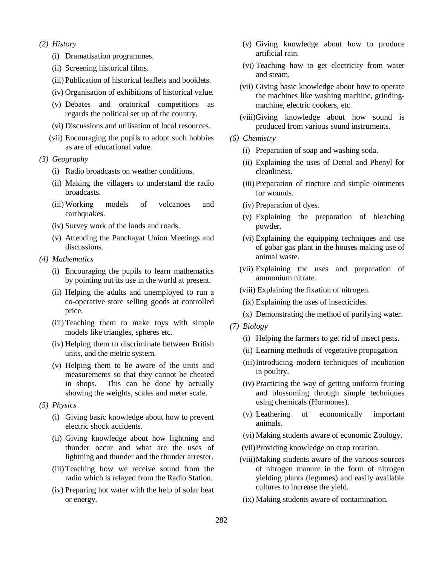### *(2) History*

- (i) Dramatisation programmes.
- (ii) Screening historical films.
- (iii) Publication of historical leaflets and booklets.
- (iv) Organisation of exhibitions of historical value.
- (v) Debates and oratorical competitions as regards the political set up of the country.
- (vi) Discussions and utilisation of local resources.
- (vii) Encouraging the pupils to adopt such hobbies as are of educational value.
- *(3) Geography*
	- (i) Radio broadcasts on weather conditions.
	- (ii) Making the villagers to understand the radio broadcasts.
	- (iii) Working models of volcanoes and earthquakes.
	- (iv) Survey work of the lands and roads.
	- (v) Attending the Panchayat Union Meetings and discussions.
- *(4) Mathematics*
	- (i) Encouraging the pupils to learn mathematics by pointing out its use in the world at present.
	- (ii) Helping the adults and unemployed to run a co-operative store selling goods at controlled price.
	- (iii)Teaching them to make toys with simple models like triangles, spheres etc.
	- (iv) Helping them to discriminate between British units, and the metric system.
	- (v) Helping them to be aware of the units and measurements so that they cannot be cheated in shops. This can be done by actually showing the weights, scales and meter scale.
- *(5) Physics*
	- (i) Giving basic knowledge about how to prevent electric shock accidents.
	- (ii) Giving knowledge about how lightning and thunder occur and what are the uses of lightning and thunder and the thunder arrester.
	- (iii)Teaching how we receive sound from the radio which is relayed from the Radio Station.
	- (iv) Preparing hot water with the help of solar heat or energy.
- (v) Giving knowledge about how to produce artificial rain.
- (vi) Teaching how to get electricity from water and steam.
- (vii) Giving basic knowledge about how to operate the machines like washing machine, grindingmachine, electric cookers, etc.
- (viii)Giving knowledge about how sound is produced from various sound instruments.
- *(6) Chemistry*
	- (i) Preparation of soap and washing soda.
	- (ii) Explaining the uses of Dettol and Phenyl for cleanliness.
	- (iii) Preparation of tincture and simple ointments for wounds.
	- (iv) Preparation of dyes.
	- (v) Explaining the preparation of bleaching powder.
	- (vi) Explaining the equipping techniques and use of gobar gas plant in the houses making use of animal waste.
	- (vii) Explaining the uses and preparation of ammonium nitrate.
	- (viii) Explaining the fixation of nitrogen.
	- (ix) Explaining the uses of insecticides.
	- (x) Demonstrating the method of purifying water.
- *(7) Biology*
	- (i) Helping the farmers to get rid of insect pests.
	- (ii) Learning methods of vegetative propagation.
	- (iii)Introducing modern techniques of incubation in poultry.
	- (iv) Practicing the way of getting uniform fruiting and blossoming through simple techniques using chemicals (Hormones).
	- (v) Leathering of economically important animals.
	- (vi) Making students aware of economic Zoology.
	- (vii)Providing knowledge on crop rotation.
	- (viii)Making students aware of the various sources of nitrogen manure in the form of nitrogen yielding plants (legumes) and easily available cultures to increase the yield.
	- (ix) Making students aware of contamination.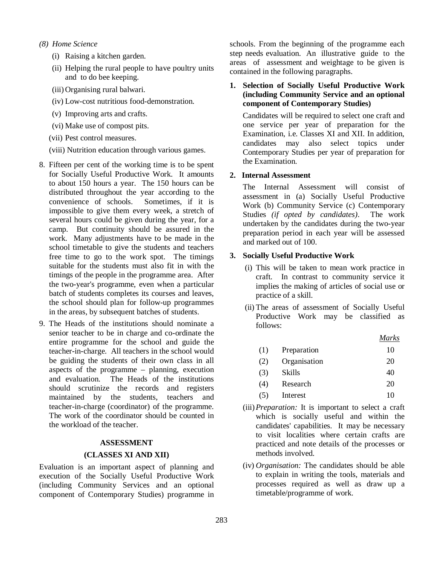- *(8) Home Science*
	- (i) Raising a kitchen garden.
	- (ii) Helping the rural people to have poultry units and to do bee keeping.
	- (iii) Organising rural balwari.
	- (iv) Low-cost nutritious food-demonstration.
	- (v) Improving arts and crafts.
	- (vi) Make use of compost pits.
	- (vii) Pest control measures.
	- (viii) Nutrition education through various games.
- 8. Fifteen per cent of the working time is to be spent for Socially Useful Productive Work. It amounts to about 150 hours a year. The 150 hours can be distributed throughout the year according to the convenience of schools. Sometimes, if it is impossible to give them every week, a stretch of several hours could be given during the year, for a camp. But continuity should be assured in the work. Many adjustments have to be made in the school timetable to give the students and teachers free time to go to the work spot. The timings suitable for the students must also fit in with the timings of the people in the programme area. After the two-year's programme, even when a particular batch of students completes its courses and leaves, the school should plan for follow-up programmes in the areas, by subsequent batches of students.
- 9. The Heads of the institutions should nominate a senior teacher to be in charge and co-ordinate the entire programme for the school and guide the teacher-in-charge. All teachers in the school would be guiding the students of their own class in all aspects of the programme – planning, execution and evaluation. The Heads of the institutions should scrutinize the records and registers maintained by the students, teachers and teacher-in-charge (coordinator) of the programme. The work of the coordinator should be counted in the workload of the teacher.

### **ASSESSMENT**

### **(CLASSES XI AND XII)**

Evaluation is an important aspect of planning and execution of the Socially Useful Productive Work (including Community Services and an optional component of Contemporary Studies) programme in schools. From the beginning of the programme each step needs evaluation. An illustrative guide to the areas of assessment and weightage to be given is contained in the following paragraphs.

### **1. Selection of Socially Useful Productive Work (including Community Service and an optional component of Contemporary Studies)**

Candidates will be required to select one craft and one service per year of preparation for the Examination, i.e. Classes XI and XII. In addition, candidates may also select topics under Contemporary Studies per year of preparation for the Examination.

### **2. Internal Assessment**

The Internal Assessment will consist of assessment in (a) Socially Useful Productive Work (b) Community Service (c) Contemporary Studies *(if opted by candidates)*.The work undertaken by the candidates during the two-year preparation period in each year will be assessed and marked out of 100.

### **3. Socially Useful Productive Work**

- (i) This will be taken to mean work practice in craft. In contrast to community service it implies the making of articles of social use or practice of a skill.
- (ii) The areas of assessment of Socially Useful Productive Work may be classified as follows:

*Marks*

| (1) | Preparation  | 10 |
|-----|--------------|----|
| (2) | Organisation | 20 |
| (3) | Skills       | 40 |
| (4) | Research     | 20 |
| (5) | Interest     | 10 |
|     |              |    |

- (iii)*Preparation:* It is important to select a craft which is socially useful and within the candidates' capabilities. It may be necessary to visit localities where certain crafts are practiced and note details of the processes or methods involved.
- (iv) *Organisation:* The candidates should be able to explain in writing the tools, materials and processes required as well as draw up a timetable/programme of work.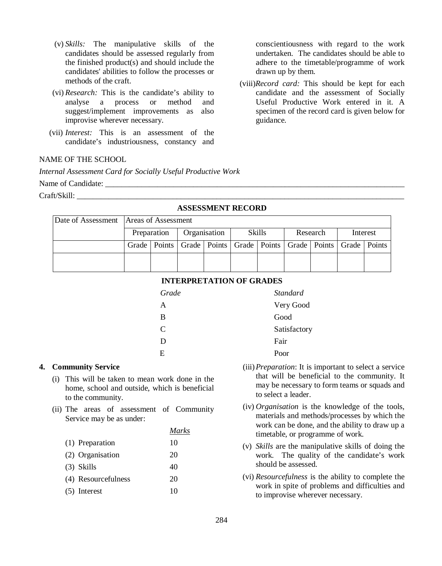- (v) *Skills:* The manipulative skills of the candidates should be assessed regularly from the finished product(s) and should include the candidates' abilities to follow the processes or methods of the craft.
- (vi) *Research:* This is the candidate's ability to analyse a process or method and suggest/implement improvements as also improvise wherever necessary.
- (vii) *Interest:* This is an assessment of the candidate's industriousness, constancy and

## NAME OF THE SCHOOL

*Internal Assessment Card for Socially Useful Productive Work*

Name of Candidate: \_\_\_\_\_\_\_\_\_\_\_\_\_\_\_\_\_\_\_\_\_\_\_\_\_\_\_\_\_\_\_\_\_\_\_\_\_\_\_\_\_\_\_\_\_\_\_\_\_\_\_\_\_\_\_\_\_\_\_\_\_\_\_\_\_\_\_\_\_\_\_\_\_\_\_

Craft/Skill:

| 1100100011111111111100111 <b>0</b> |                                          |             |              |  |        |  |          |  |                                                                                    |  |
|------------------------------------|------------------------------------------|-------------|--------------|--|--------|--|----------|--|------------------------------------------------------------------------------------|--|
|                                    | Date of Assessment   Areas of Assessment |             |              |  |        |  |          |  |                                                                                    |  |
|                                    |                                          | Preparation | Organisation |  | Skills |  | Research |  | Interest                                                                           |  |
|                                    |                                          |             |              |  |        |  |          |  | Grade   Points   Grade   Points   Grade   Points   Grade   Points   Grade   Points |  |
|                                    |                                          |             |              |  |        |  |          |  |                                                                                    |  |

# **ASSESSMENT RECORD**

| <b>INTERPRETATION OF GRADES</b> |  |
|---------------------------------|--|
|---------------------------------|--|

| Very Good    |
|--------------|
|              |
| Satisfactory |
|              |
|              |
|              |

### **4. Community Service**

- (i) This will be taken to mean work done in the home, school and outside, which is beneficial to the community.
- (ii) The areas of assessment of Community Service may be as under:

*Marks*

|                     | Marks |
|---------------------|-------|
| (1) Preparation     | 10    |
| (2) Organisation    | 20    |
| $(3)$ Skills        | 40    |
| (4) Resourcefulness | 20    |
| $(5)$ Interest      | 10    |

- (iii)*Preparation*: It is important to select a service that will be beneficial to the community. It may be necessary to form teams or squads and to select a leader.
- (iv) *Organisation* is the knowledge of the tools, materials and methods/processes by which the work can be done, and the ability to draw up a timetable, or programme of work.
- (v) *Skills* are the manipulative skills of doing the work. The quality of the candidate's work should be assessed.
- (vi) *Resourcefulness* is the ability to complete the work in spite of problems and difficulties and to improvise wherever necessary.

conscientiousness with regard to the work undertaken. The candidates should be able to adhere to the timetable/programme of work drawn up by them.

(viii)*Record card:* This should be kept for each candidate and the assessment of Socially Useful Productive Work entered in it. A specimen of the record card is given below for guidance.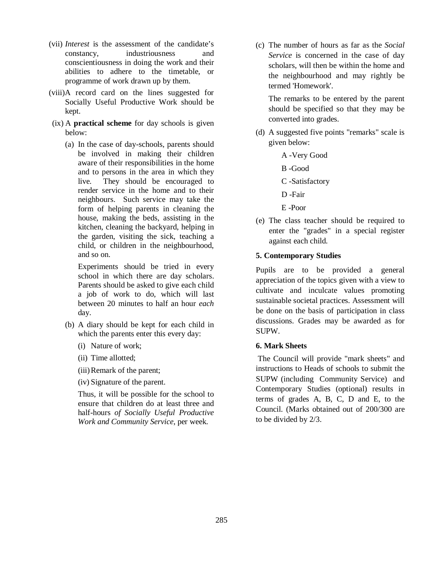- (vii) *Interest* is the assessment of the candidate's constancy, industriousness and conscientiousness in doing the work and their abilities to adhere to the timetable, or programme of work drawn up by them.
- (viii)A record card on the lines suggested for Socially Useful Productive Work should be kept.
- (ix) A **practical scheme** for day schools is given below:
	- (a) In the case of day-schools, parents should be involved in making their children aware of their responsibilities in the home and to persons in the area in which they live. They should be encouraged to render service in the home and to their neighbours. Such service may take the form of helping parents in cleaning the house, making the beds, assisting in the kitchen, cleaning the backyard, helping in the garden, visiting the sick, teaching a child, or children in the neighbourhood, and so on.

Experiments should be tried in every school in which there are day scholars. Parents should be asked to give each child a job of work to do, which will last between 20 minutes to half an hour *each* day.

- (b) A diary should be kept for each child in which the parents enter this every day:
	- (i) Nature of work;
	- (ii) Time allotted;
	- (iii)Remark of the parent;
	- (iv) Signature of the parent.

Thus, it will be possible for the school to ensure that children do at least three and half-hours *of Socially Useful Productive Work and Community Service*, per week.

(c) The number of hours as far as the *Social Service* is concerned in the case of day scholars, will then be within the home and the neighbourhood and may rightly be termed 'Homework'.

The remarks to be entered by the parent should be specified so that they may be converted into grades.

- (d) A suggested five points "remarks" scale is given below:
	- A -Very Good
	- B -Good
	- C -Satisfactory
	- D -Fair
	- E -Poor
- (e) The class teacher should be required to enter the "grades" in a special register against each child.

## **5. Contemporary Studies**

Pupils are to be provided a general appreciation of the topics given with a view to cultivate and inculcate values promoting sustainable societal practices. Assessment will be done on the basis of participation in class discussions. Grades may be awarded as for SUPW.

## **6. Mark Sheets**

 The Council will provide "mark sheets" and instructions to Heads of schools to submit the SUPW (including Community Service) and Contemporary Studies (optional) results in terms of grades A, B, C, D and E, to the Council. (Marks obtained out of 200/300 are to be divided by 2/3.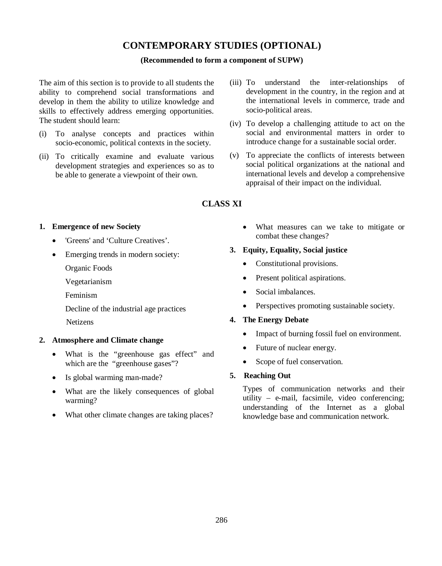# **CONTEMPORARY STUDIES (OPTIONAL)**

## **(Recommended to form a component of SUPW)**

The aim of this section is to provide to all students the ability to comprehend social transformations and develop in them the ability to utilize knowledge and skills to effectively address emerging opportunities. The student should learn:

- (i) To analyse concepts and practices within socio-economic, political contexts in the society.
- (ii) To critically examine and evaluate various development strategies and experiences so as to be able to generate a viewpoint of their own.
- (iii) To understand the inter-relationships of development in the country, in the region and at the international levels in commerce, trade and socio-political areas.
- (iv) To develop a challenging attitude to act on the social and environmental matters in order to introduce change for a sustainable social order.
- (v) To appreciate the conflicts of interests between social political organizations at the national and international levels and develop a comprehensive appraisal of their impact on the individual.

# **CLASS XI**

## **1. Emergence of new Society**

- 'Greens' and 'Culture Creatives'.
- Emerging trends in modern society:
	- Organic Foods
	- Vegetarianism
	- Feminism
	- Decline of the industrial age practices
	- Netizens

## **2. Atmosphere and Climate change**

- What is the "greenhouse gas effect" and which are the "greenhouse gases"?
- Is global warming man-made?
- What are the likely consequences of global warming?
- What other climate changes are taking places?

 What measures can we take to mitigate or combat these changes?

## **3. Equity, Equality, Social justice**

- Constitutional provisions.
- Present political aspirations.
- Social imbalances.
- Perspectives promoting sustainable society.

## **4. The Energy Debate**

- Impact of burning fossil fuel on environment.
- Future of nuclear energy.
- Scope of fuel conservation.

## **5. Reaching Out**

Types of communication networks and their utility – e-mail, facsimile, video conferencing; understanding of the Internet as a global knowledge base and communication network.